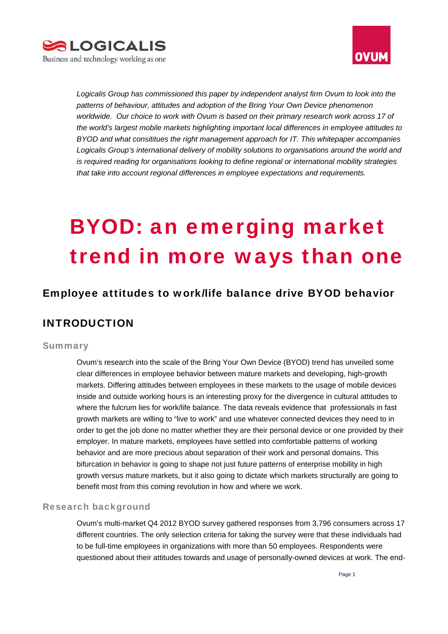



*Logicalis Group has commissioned this paper by independent analyst firm Ovum to look into the patterns of behaviour, attitudes and adoption of the Bring Your Own Device phenomenon worldwide. Our choice to work with Ovum is based on their primary research work across 17 of the world's largest mobile markets highlighting important local differences in employee attitudes to BYOD and what consititues the right management approach for IT. This whitepaper accompanies Logicalis Group's international delivery of mobility solutions to organisations around the world and is required reading for organisations looking to define regional or international mobility strategies that take into account regional differences in employee expectations and requirements.* 

# BYOD: an emerging market trend in more ways than one

## Employee attitudes to work/life balance drive BYOD behavior

## INTRODUCTION

#### Summary

Ovum's research into the scale of the Bring Your Own Device (BYOD) trend has unveiled some clear differences in employee behavior between mature markets and developing, high-growth markets. Differing attitudes between employees in these markets to the usage of mobile devices inside and outside working hours is an interesting proxy for the divergence in cultural attitudes to where the fulcrum lies for work/life balance. The data reveals evidence that professionals in fast growth markets are willing to "live to work" and use whatever connected devices they need to in order to get the job done no matter whether they are their personal device or one provided by their employer. In mature markets, employees have settled into comfortable patterns of working behavior and are more precious about separation of their work and personal domains. This bifurcation in behavior is going to shape not just future patterns of enterprise mobility in high growth versus mature markets, but it also going to dictate which markets structurally are going to benefit most from this coming revolution in how and where we work.

#### Research background

Ovum's multi-market Q4 2012 BYOD survey gathered responses from 3,796 consumers across 17 different countries. The only selection criteria for taking the survey were that these individuals had to be full-time employees in organizations with more than 50 employees. Respondents were questioned about their attitudes towards and usage of personally-owned devices at work. The end-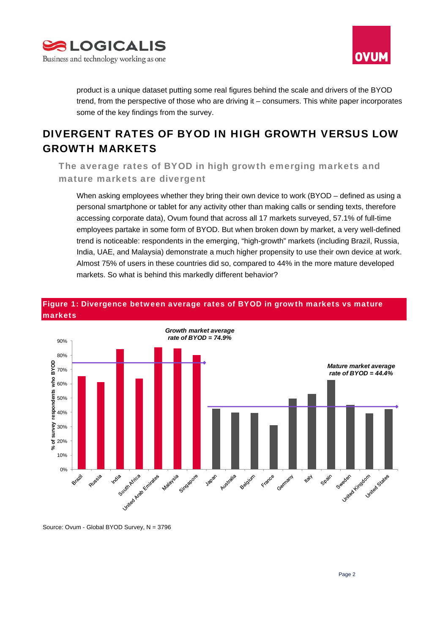



product is a unique dataset putting some real figures behind the scale and drivers of the BYOD trend, from the perspective of those who are driving it – consumers. This white paper incorporates some of the key findings from the survey.

# DIVERGENT RATES OF BYOD IN HIGH GROWTH VERSUS LOW GROWTH MARKETS

The average rates of BYOD in high growth emerging markets and mature markets are divergent

When asking employees whether they bring their own device to work (BYOD – defined as using a personal smartphone or tablet for any activity other than making calls or sending texts, therefore accessing corporate data), Ovum found that across all 17 markets surveyed, 57.1% of full-time employees partake in some form of BYOD. But when broken down by market, a very well-defined trend is noticeable: respondents in the emerging, "high-growth" markets (including Brazil, Russia, India, UAE, and Malaysia) demonstrate a much higher propensity to use their own device at work. Almost 75% of users in these countries did so, compared to 44% in the more mature developed markets. So what is behind this markedly different behavior?



#### Figure 1: Divergence between average rates of BYOD in growth markets vs mature markets

Source: Ovum - Global BYOD Survey, N = 3796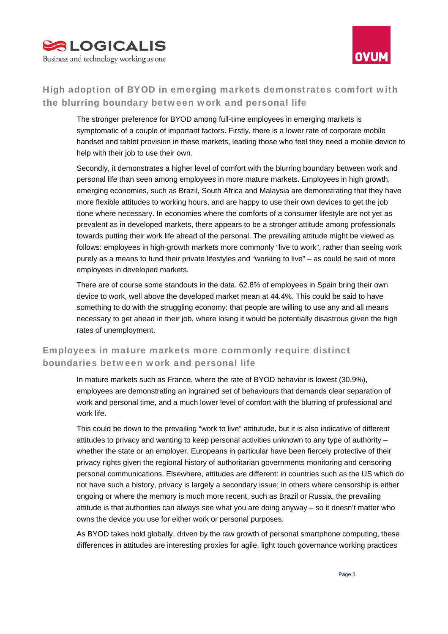



## High adoption of BYOD in emerging markets demonstrates comfort with the blurring boundary between work and personal life

The stronger preference for BYOD among full-time employees in emerging markets is symptomatic of a couple of important factors. Firstly, there is a lower rate of corporate mobile handset and tablet provision in these markets, leading those who feel they need a mobile device to help with their job to use their own.

Secondly, it demonstrates a higher level of comfort with the blurring boundary between work and personal life than seen among employees in more mature markets. Employees in high growth, emerging economies, such as Brazil, South Africa and Malaysia are demonstrating that they have more flexible attitudes to working hours, and are happy to use their own devices to get the job done where necessary. In economies where the comforts of a consumer lifestyle are not yet as prevalent as in developed markets, there appears to be a stronger attitude among professionals towards putting their work life ahead of the personal. The prevailing attitude might be viewed as follows: employees in high-growth markets more commonly "live to work", rather than seeing work purely as a means to fund their private lifestyles and "working to live" – as could be said of more employees in developed markets.

There are of course some standouts in the data. 62.8% of employees in Spain bring their own device to work, well above the developed market mean at 44.4%. This could be said to have something to do with the struggling economy: that people are willing to use any and all means necessary to get ahead in their job, where losing it would be potentially disastrous given the high rates of unemployment.

## Employees in mature markets more commonly require distinct boundaries between work and personal life

In mature markets such as France, where the rate of BYOD behavior is lowest (30.9%), employees are demonstrating an ingrained set of behaviours that demands clear separation of work and personal time, and a much lower level of comfort with the blurring of professional and work life.

This could be down to the prevailing "work to live" attitutude, but it is also indicative of different attitudes to privacy and wanting to keep personal activities unknown to any type of authority – whether the state or an employer. Europeans in particular have been fiercely protective of their privacy rights given the regional history of authoritarian governments monitoring and censoring personal communications. Elsewhere, attitudes are different: in countries such as the US which do not have such a history, privacy is largely a secondary issue; in others where censorship is either ongoing or where the memory is much more recent, such as Brazil or Russia, the prevailing attitude is that authorities can always see what you are doing anyway – so it doesn't matter who owns the device you use for either work or personal purposes.

As BYOD takes hold globally, driven by the raw growth of personal smartphone computing, these differences in attitudes are interesting proxies for agile, light touch governance working practices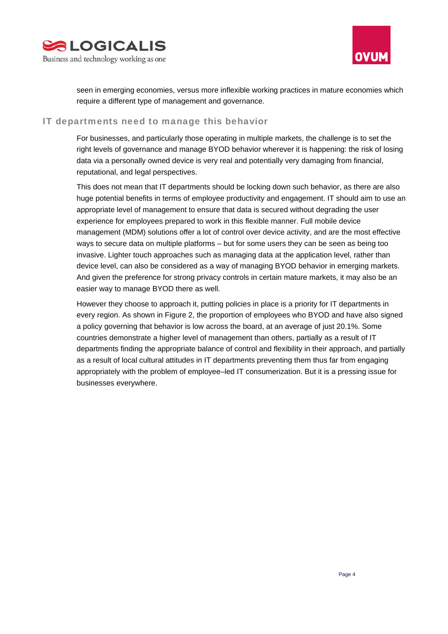



seen in emerging economies, versus more inflexible working practices in mature economies which require a different type of management and governance.

#### IT departments need to manage this behavior

For businesses, and particularly those operating in multiple markets, the challenge is to set the right levels of governance and manage BYOD behavior wherever it is happening: the risk of losing data via a personally owned device is very real and potentially very damaging from financial, reputational, and legal perspectives.

This does not mean that IT departments should be locking down such behavior, as there are also huge potential benefits in terms of employee productivity and engagement. IT should aim to use an appropriate level of management to ensure that data is secured without degrading the user experience for employees prepared to work in this flexible manner. Full mobile device management (MDM) solutions offer a lot of control over device activity, and are the most effective ways to secure data on multiple platforms – but for some users they can be seen as being too invasive. Lighter touch approaches such as managing data at the application level, rather than device level, can also be considered as a way of managing BYOD behavior in emerging markets. And given the preference for strong privacy controls in certain mature markets, it may also be an easier way to manage BYOD there as well.

However they choose to approach it, putting policies in place is a priority for IT departments in every region. As shown in Figure 2, the proportion of employees who BYOD and have also signed a policy governing that behavior is low across the board, at an average of just 20.1%. Some countries demonstrate a higher level of management than others, partially as a result of IT departments finding the appropriate balance of control and flexibility in their approach, and partially as a result of local cultural attitudes in IT departments preventing them thus far from engaging appropriately with the problem of employee–led IT consumerization. But it is a pressing issue for businesses everywhere.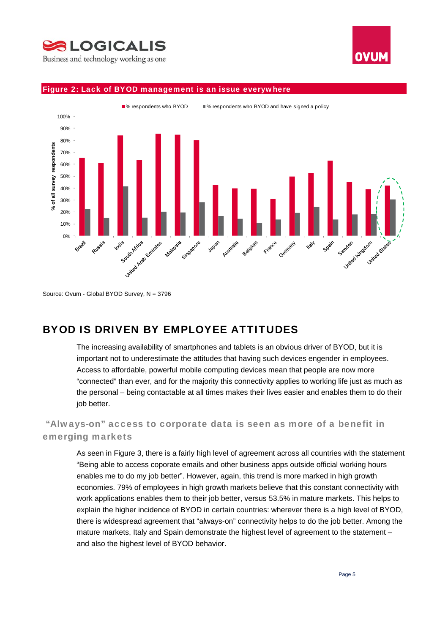





#### Figure 2: Lack of BYOD management is an issue everywhere



Source: Ovum - Global BYOD Survey, N = 3796

## BYOD IS DRIVEN BY EMPLOYEE ATTITUDES

The increasing availability of smartphones and tablets is an obvious driver of BYOD, but it is important not to underestimate the attitudes that having such devices engender in employees. Access to affordable, powerful mobile computing devices mean that people are now more "connected" than ever, and for the majority this connectivity applies to working life just as much as the personal – being contactable at all times makes their lives easier and enables them to do their job better.

## "Always-on" access to corporate data is seen as more of a benefit in emerging markets

As seen in Figure 3, there is a fairly high level of agreement across all countries with the statement "Being able to access coporate emails and other business apps outside official working hours enables me to do my job better". However, again, this trend is more marked in high growth economies. 79% of employees in high growth markets believe that this constant connectivity with work applications enables them to their job better, versus 53.5% in mature markets. This helps to explain the higher incidence of BYOD in certain countries: wherever there is a high level of BYOD, there is widespread agreement that "always-on" connectivity helps to do the job better. Among the mature markets, Italy and Spain demonstrate the highest level of agreement to the statement – and also the highest level of BYOD behavior.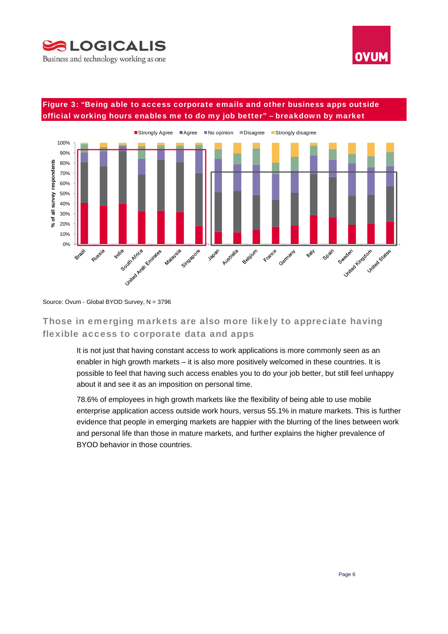



### Figure 3: "Being able to access corporate emails and other business apps outside official working hours enables me to do my job better" – breakdown by market



Source: Ovum - Global BYOD Survey, N = 3796

## Those in emerging markets are also more likely to appreciate having flexible access to corporate data and apps

It is not just that having constant access to work applications is more commonly seen as an enabler in high growth markets – it is also more positively welcomed in these countries. It is possible to feel that having such access enables you to do your job better, but still feel unhappy about it and see it as an imposition on personal time.

78.6% of employees in high growth markets like the flexibility of being able to use mobile enterprise application access outside work hours, versus 55.1% in mature markets. This is further evidence that people in emerging markets are happier with the blurring of the lines between work and personal life than those in mature markets, and further explains the higher prevalence of BYOD behavior in those countries.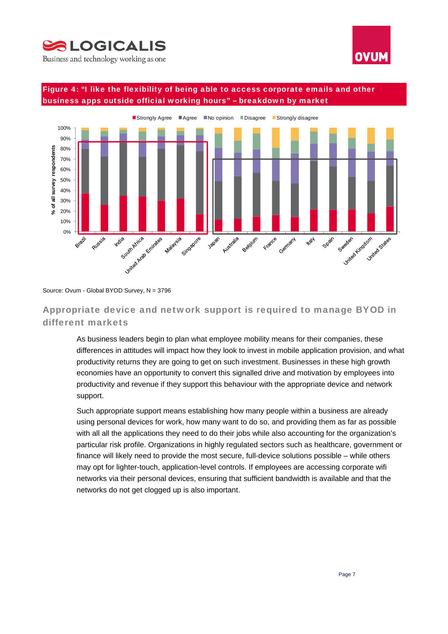



#### Figure 4: "I like the flexibility of being able to access corporate emails and other business apps outside official working hours" – breakdown by market



#### Source: Ovum - Global BYOD Survey, N = 3796

## Appropriate device and network support is required to manage BYOD in different markets

As business leaders begin to plan what employee mobility means for their companies, these differences in attitudes will impact how they look to invest in mobile application provision, and what productivity returns they are going to get on such investment. Businesses in these high growth economies have an opportunity to convert this signalled drive and motivation by employees into productivity and revenue if they support this behaviour with the appropriate device and network support.

Such appropriate support means establishing how many people within a business are already using personal devices for work, how many want to do so, and providing them as far as possible with all all the applications they need to do their jobs while also accounting for the organization's particular risk profile. Organizations in highly regulated sectors such as healthcare, government or finance will likely need to provide the most secure, full-device solutions possible – while others may opt for lighter-touch, application-level controls. If employees are accessing corporate wifi networks via their personal devices, ensuring that sufficient bandwidth is available and that the networks do not get clogged up is also important.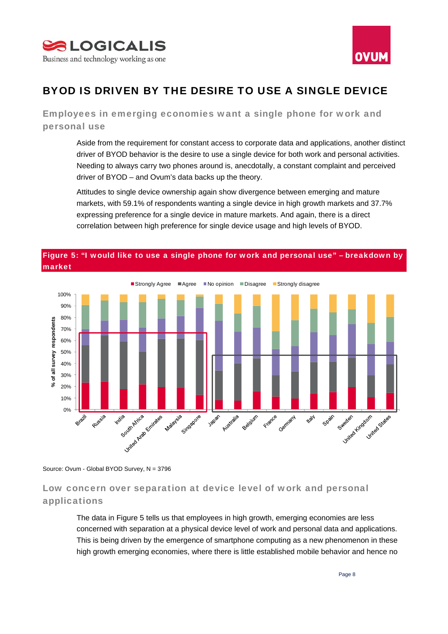



## BYOD IS DRIVEN BY THE DESIRE TO USE A SINGLE DEVICE

Employees in emerging economies want a single phone for work and personal use

Aside from the requirement for constant access to corporate data and applications, another distinct driver of BYOD behavior is the desire to use a single device for both work and personal activities. Needing to always carry two phones around is, anecdotally, a constant complaint and perceived driver of BYOD – and Ovum's data backs up the theory.

Attitudes to single device ownership again show divergence between emerging and mature markets, with 59.1% of respondents wanting a single device in high growth markets and 37.7% expressing preference for a single device in mature markets. And again, there is a direct correlation between high preference for single device usage and high levels of BYOD.



Source: Ovum - Global BYOD Survey, N = 3796

## Low concern over separation at device level of work and personal applications

The data in Figure 5 tells us that employees in high growth, emerging economies are less concerned with separation at a physical device level of work and personal data and applications. This is being driven by the emergence of smartphone computing as a new phenomenon in these high growth emerging economies, where there is little established mobile behavior and hence no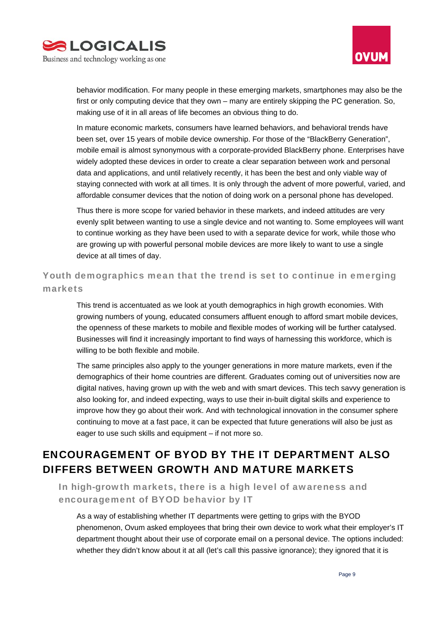



behavior modification. For many people in these emerging markets, smartphones may also be the first or only computing device that they own – many are entirely skipping the PC generation. So, making use of it in all areas of life becomes an obvious thing to do.

In mature economic markets, consumers have learned behaviors, and behavioral trends have been set, over 15 years of mobile device ownership. For those of the "BlackBerry Generation", mobile email is almost synonymous with a corporate-provided BlackBerry phone. Enterprises have widely adopted these devices in order to create a clear separation between work and personal data and applications, and until relatively recently, it has been the best and only viable way of staying connected with work at all times. It is only through the advent of more powerful, varied, and affordable consumer devices that the notion of doing work on a personal phone has developed.

Thus there is more scope for varied behavior in these markets, and indeed attitudes are very evenly split between wanting to use a single device and not wanting to. Some employees will want to continue working as they have been used to with a separate device for work, while those who are growing up with powerful personal mobile devices are more likely to want to use a single device at all times of day.

Youth demographics mean that the trend is set to continue in emerging markets

This trend is accentuated as we look at youth demographics in high growth economies. With growing numbers of young, educated consumers affluent enough to afford smart mobile devices, the openness of these markets to mobile and flexible modes of working will be further catalysed. Businesses will find it increasingly important to find ways of harnessing this workforce, which is willing to be both flexible and mobile.

The same principles also apply to the younger generations in more mature markets, even if the demographics of their home countries are different. Graduates coming out of universities now are digital natives, having grown up with the web and with smart devices. This tech savvy generation is also looking for, and indeed expecting, ways to use their in-built digital skills and experience to improve how they go about their work. And with technological innovation in the consumer sphere continuing to move at a fast pace, it can be expected that future generations will also be just as eager to use such skills and equipment – if not more so.

## ENCOURAGEMENT OF BYOD BY THE IT DEPARTMENT ALSO DIFFERS BETWEEN GROWTH AND MATURE MARKETS

In high-growth markets, there is a high level of awareness and encouragement of BYOD behavior by IT

As a way of establishing whether IT departments were getting to grips with the BYOD phenomenon, Ovum asked employees that bring their own device to work what their employer's IT department thought about their use of corporate email on a personal device. The options included: whether they didn't know about it at all (let's call this passive ignorance); they ignored that it is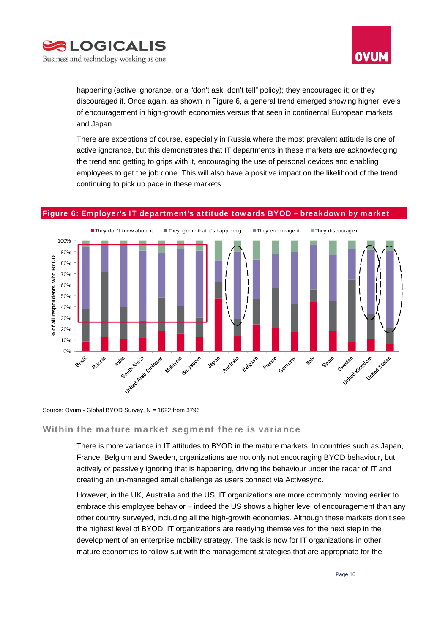



happening (active ignorance, or a "don't ask, don't tell" policy); they encouraged it; or they discouraged it. Once again, as shown in Figure 6, a general trend emerged showing higher levels of encouragement in high-growth economies versus that seen in continental European markets and Japan.

There are exceptions of course, especially in Russia where the most prevalent attitude is one of active ignorance, but this demonstrates that IT departments in these markets are acknowledging the trend and getting to grips with it, encouraging the use of personal devices and enabling employees to get the job done. This will also have a positive impact on the likelihood of the trend continuing to pick up pace in these markets.

#### Figure 6: Employer's IT department's attitude towards BYOD – breakdown by market



Source: Ovum - Global BYOD Survey, N = 1622 from 3796

#### Within the mature market segment there is variance

There is more variance in IT attitudes to BYOD in the mature markets. In countries such as Japan, France, Belgium and Sweden, organizations are not only not encouraging BYOD behaviour, but actively or passively ignoring that is happening, driving the behaviour under the radar of IT and creating an un-managed email challenge as users connect via Activesync.

However, in the UK, Australia and the US, IT organizations are more commonly moving earlier to embrace this employee behavior – indeed the US shows a higher level of encouragement than any other country surveyed, including all the high-growth economies. Although these markets don't see the highest level of BYOD, IT organizations are readying themselves for the next step in the development of an enterprise mobility strategy. The task is now for IT organizations in other mature economies to follow suit with the management strategies that are appropriate for the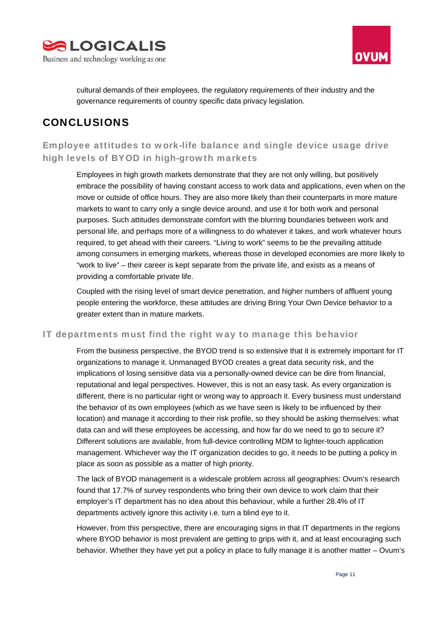



cultural demands of their employees, the regulatory requirements of their industry and the governance requirements of country specific data privacy legislation.

## CONCLUSIONS

Employee attitudes to work-life balance and single device usage drive high levels of BYOD in high-growth markets

Employees in high growth markets demonstrate that they are not only willing, but positively embrace the possibility of having constant access to work data and applications, even when on the move or outside of office hours. They are also more likely than their counterparts in more mature markets to want to carry only a single device around, and use it for both work and personal purposes. Such attitudes demonstrate comfort with the blurring boundaries between work and personal life, and perhaps more of a willingness to do whatever it takes, and work whatever hours required, to get ahead with their careers. "Living to work" seems to be the prevailing attitude among consumers in emerging markets, whereas those in developed economies are more likely to "work to live" – their career is kept separate from the private life, and exists as a means of providing a comfortable private life.

Coupled with the rising level of smart device penetration, and higher numbers of affluent young people entering the workforce, these attitudes are driving Bring Your Own Device behavior to a greater extent than in mature markets.

#### IT departments must find the right way to manage this behavior

From the business perspective, the BYOD trend is so extensive that it is extremely important for IT organizations to manage it. Unmanaged BYOD creates a great data security risk, and the implications of losing sensitive data via a personally-owned device can be dire from financial, reputational and legal perspectives. However, this is not an easy task. As every organization is different, there is no particular right or wrong way to approach it. Every business must understand the behavior of its own employees (which as we have seen is likely to be influenced by their location) and manage it according to their risk profile, so they should be asking themselves: what data can and will these employees be accessing, and how far do we need to go to secure it? Different solutions are available, from full-device controlling MDM to lighter-touch application management. Whichever way the IT organization decides to go, it needs to be putting a policy in place as soon as possible as a matter of high priority.

The lack of BYOD management is a widescale problem across all geographies: Ovum's research found that 17.7% of survey respondents who bring their own device to work claim that their employer's IT department has no idea about this behaviour, while a further 28.4% of IT departments actively ignore this activity i.e. turn a blind eye to it.

However, from this perspective, there are encouraging signs in that IT departments in the regions where BYOD behavior is most prevalent are getting to grips with it, and at least encouraging such behavior. Whether they have yet put a policy in place to fully manage it is another matter – Ovum's